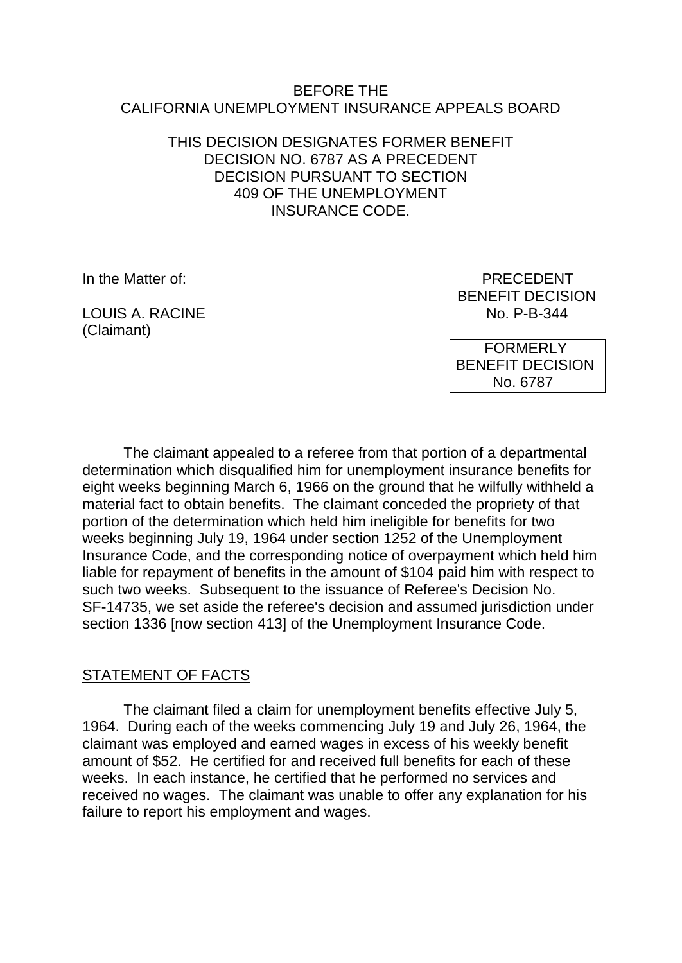#### BEFORE THE CALIFORNIA UNEMPLOYMENT INSURANCE APPEALS BOARD

### THIS DECISION DESIGNATES FORMER BENEFIT DECISION NO. 6787 AS A PRECEDENT DECISION PURSUANT TO SECTION 409 OF THE UNEMPLOYMENT INSURANCE CODE.

LOUIS A. RACINE (Claimant)

In the Matter of: PRECEDENT BENEFIT DECISION<br>No. P-B-344

> FORMERLY BENEFIT DECISION No. 6787

The claimant appealed to a referee from that portion of a departmental determination which disqualified him for unemployment insurance benefits for eight weeks beginning March 6, 1966 on the ground that he wilfully withheld a material fact to obtain benefits. The claimant conceded the propriety of that portion of the determination which held him ineligible for benefits for two weeks beginning July 19, 1964 under section 1252 of the Unemployment Insurance Code, and the corresponding notice of overpayment which held him liable for repayment of benefits in the amount of \$104 paid him with respect to such two weeks. Subsequent to the issuance of Referee's Decision No. SF-14735, we set aside the referee's decision and assumed jurisdiction under section 1336 [now section 413] of the Unemployment Insurance Code.

### STATEMENT OF FACTS

The claimant filed a claim for unemployment benefits effective July 5, 1964. During each of the weeks commencing July 19 and July 26, 1964, the claimant was employed and earned wages in excess of his weekly benefit amount of \$52. He certified for and received full benefits for each of these weeks. In each instance, he certified that he performed no services and received no wages. The claimant was unable to offer any explanation for his failure to report his employment and wages.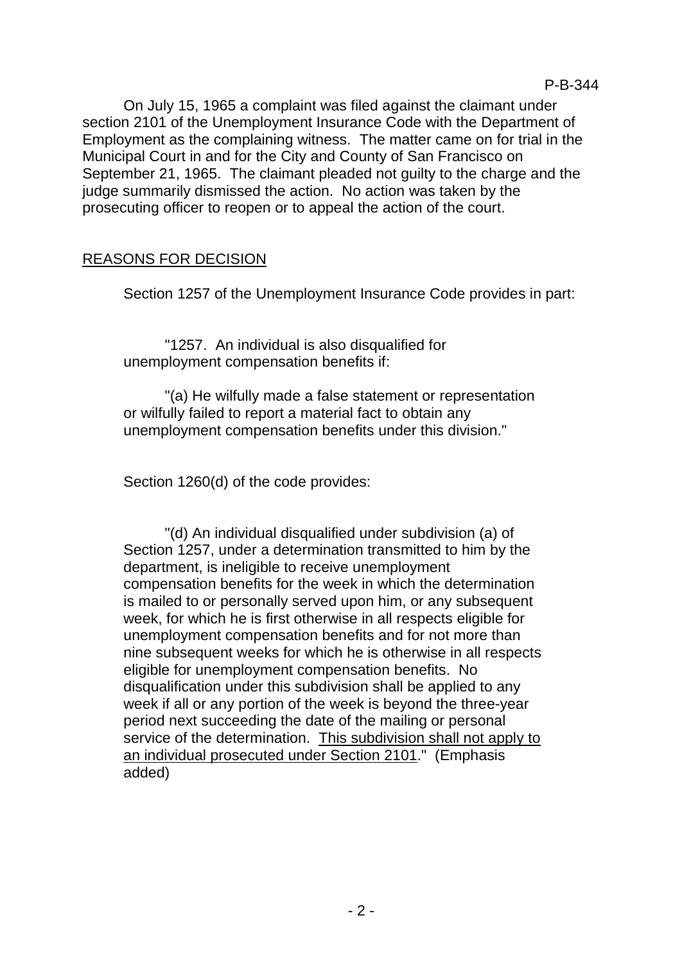On July 15, 1965 a complaint was filed against the claimant under section 2101 of the Unemployment Insurance Code with the Department of Employment as the complaining witness. The matter came on for trial in the Municipal Court in and for the City and County of San Francisco on September 21, 1965. The claimant pleaded not guilty to the charge and the judge summarily dismissed the action. No action was taken by the prosecuting officer to reopen or to appeal the action of the court.

# REASONS FOR DECISION

Section 1257 of the Unemployment Insurance Code provides in part:

"1257. An individual is also disqualified for unemployment compensation benefits if:

"(a) He wilfully made a false statement or representation or wilfully failed to report a material fact to obtain any unemployment compensation benefits under this division."

Section 1260(d) of the code provides:

"(d) An individual disqualified under subdivision (a) of Section 1257, under a determination transmitted to him by the department, is ineligible to receive unemployment compensation benefits for the week in which the determination is mailed to or personally served upon him, or any subsequent week, for which he is first otherwise in all respects eligible for unemployment compensation benefits and for not more than nine subsequent weeks for which he is otherwise in all respects eligible for unemployment compensation benefits. No disqualification under this subdivision shall be applied to any week if all or any portion of the week is beyond the three-year period next succeeding the date of the mailing or personal service of the determination. This subdivision shall not apply to an individual prosecuted under Section 2101." (Emphasis added)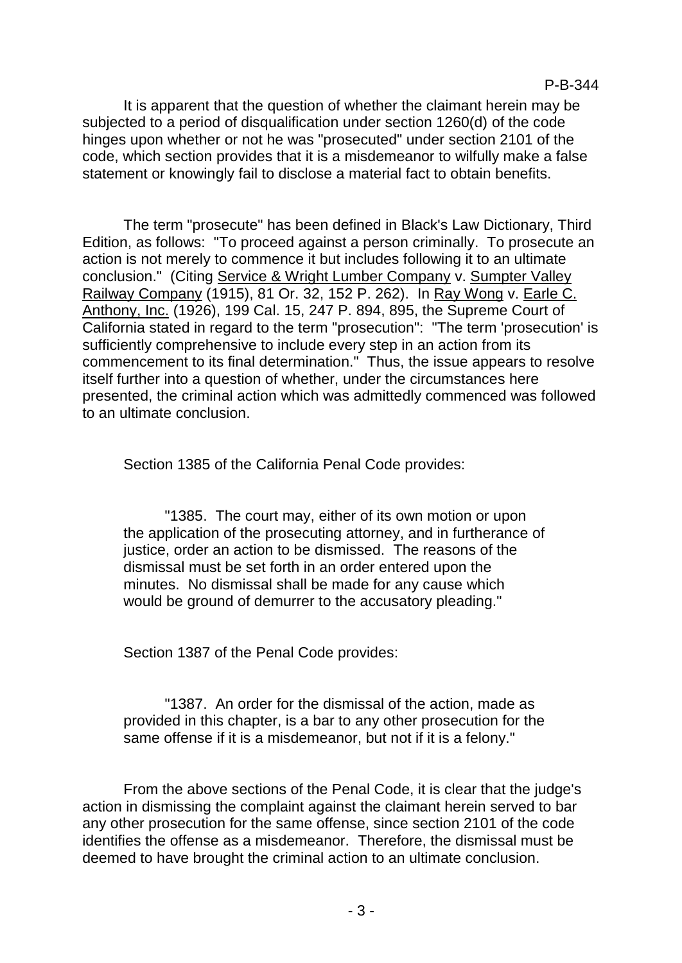It is apparent that the question of whether the claimant herein may be subjected to a period of disqualification under section 1260(d) of the code hinges upon whether or not he was "prosecuted" under section 2101 of the code, which section provides that it is a misdemeanor to wilfully make a false statement or knowingly fail to disclose a material fact to obtain benefits.

The term "prosecute" has been defined in Black's Law Dictionary, Third Edition, as follows: "To proceed against a person criminally. To prosecute an action is not merely to commence it but includes following it to an ultimate conclusion." (Citing Service & Wright Lumber Company v. Sumpter Valley Railway Company (1915), 81 Or. 32, 152 P. 262). In Ray Wong v. Earle C. Anthony, Inc. (1926), 199 Cal. 15, 247 P. 894, 895, the Supreme Court of California stated in regard to the term "prosecution": "The term 'prosecution' is sufficiently comprehensive to include every step in an action from its commencement to its final determination." Thus, the issue appears to resolve itself further into a question of whether, under the circumstances here presented, the criminal action which was admittedly commenced was followed to an ultimate conclusion.

Section 1385 of the California Penal Code provides:

"1385. The court may, either of its own motion or upon the application of the prosecuting attorney, and in furtherance of justice, order an action to be dismissed. The reasons of the dismissal must be set forth in an order entered upon the minutes. No dismissal shall be made for any cause which would be ground of demurrer to the accusatory pleading."

Section 1387 of the Penal Code provides:

"1387. An order for the dismissal of the action, made as provided in this chapter, is a bar to any other prosecution for the same offense if it is a misdemeanor, but not if it is a felony."

From the above sections of the Penal Code, it is clear that the judge's action in dismissing the complaint against the claimant herein served to bar any other prosecution for the same offense, since section 2101 of the code identifies the offense as a misdemeanor. Therefore, the dismissal must be deemed to have brought the criminal action to an ultimate conclusion.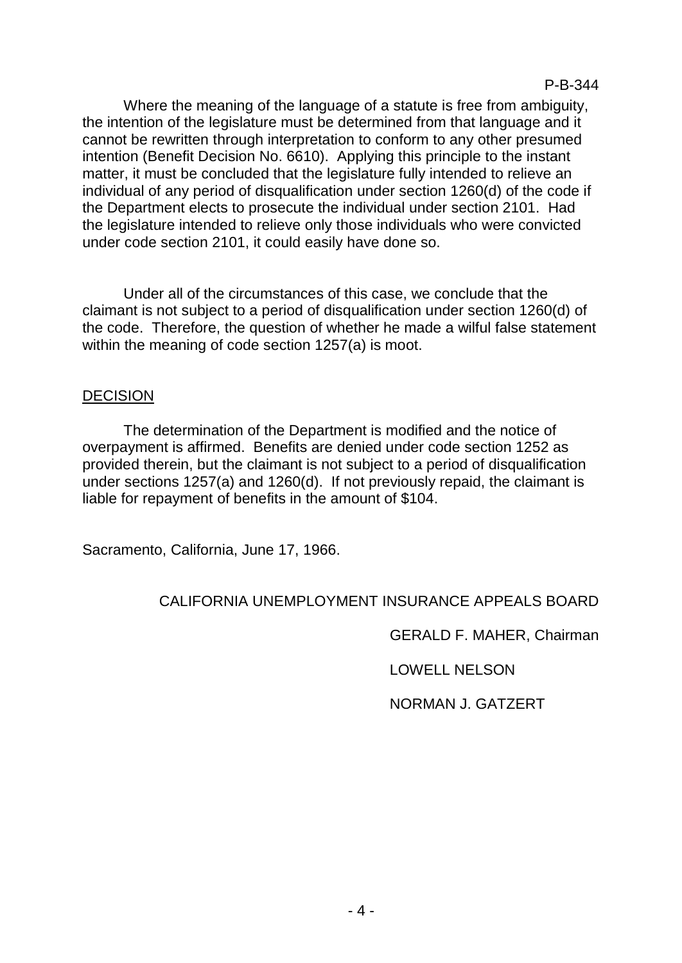Where the meaning of the language of a statute is free from ambiguity, the intention of the legislature must be determined from that language and it cannot be rewritten through interpretation to conform to any other presumed intention (Benefit Decision No. 6610). Applying this principle to the instant matter, it must be concluded that the legislature fully intended to relieve an individual of any period of disqualification under section 1260(d) of the code if the Department elects to prosecute the individual under section 2101. Had the legislature intended to relieve only those individuals who were convicted under code section 2101, it could easily have done so.

Under all of the circumstances of this case, we conclude that the claimant is not subject to a period of disqualification under section 1260(d) of the code. Therefore, the question of whether he made a wilful false statement within the meaning of code section 1257(a) is moot.

### DECISION

The determination of the Department is modified and the notice of overpayment is affirmed. Benefits are denied under code section 1252 as provided therein, but the claimant is not subject to a period of disqualification under sections 1257(a) and 1260(d). If not previously repaid, the claimant is liable for repayment of benefits in the amount of \$104.

Sacramento, California, June 17, 1966.

## CALIFORNIA UNEMPLOYMENT INSURANCE APPEALS BOARD

GERALD F. MAHER, Chairman

LOWELL NELSON

NORMAN J. GATZERT